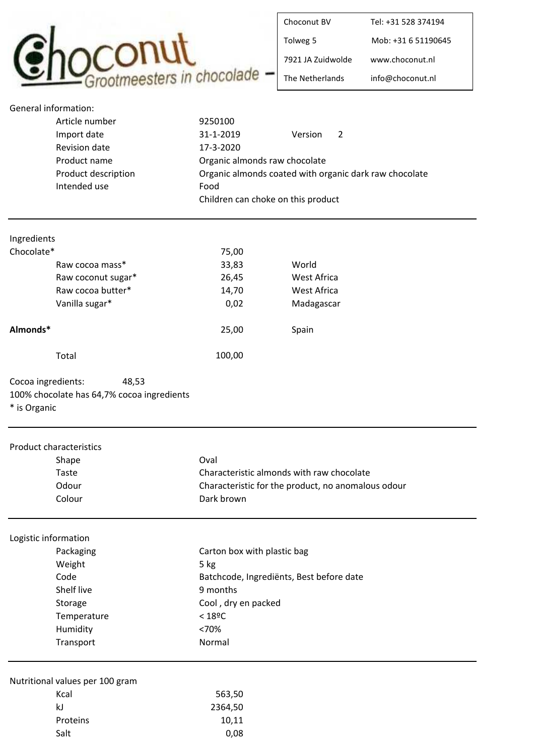

| Choconut BV       | Tel: +31 528 374194 |
|-------------------|---------------------|
| Tolweg 5          | Mob: +31 6 51190645 |
| 7921 IA Zuidwolde | www.choconut.nl     |
| The Netherlands   | info@choconut.nl    |

| General information: |                                                        |
|----------------------|--------------------------------------------------------|
| Article number       | 9250100                                                |
| Import date          | 31-1-2019<br>Version<br>2                              |
| Revision date        | 17-3-2020                                              |
| Product name         | Organic almonds raw chocolate                          |
| Product description  | Organic almonds coated with organic dark raw chocolate |
| Intended use         | Food                                                   |
|                      | Children can choke on this product                     |

| Ingredients        |        |             |
|--------------------|--------|-------------|
| Chocolate*         | 75,00  |             |
| Raw cocoa mass*    | 33,83  | World       |
| Raw coconut sugar* | 26,45  | West Africa |
| Raw cocoa butter*  | 14,70  | West Africa |
| Vanilla sugar*     | 0,02   | Madagascar  |
| Almonds*           | 25,00  | Spain       |
| Total              | 100,00 |             |

Cocoa ingredients: 48,53 100% chocolate has 64,7% cocoa ingredients \* is Organic

| <b>Product characteristics</b> |                                 |                                                    |
|--------------------------------|---------------------------------|----------------------------------------------------|
|                                | Shape                           | Oval                                               |
|                                | Taste                           | Characteristic almonds with raw chocolate          |
|                                | Odour                           | Characteristic for the product, no anomalous odour |
|                                | Colour                          | Dark brown                                         |
| Logistic information           |                                 |                                                    |
|                                | Packaging                       | Carton box with plastic bag                        |
|                                | Weight                          | 5 kg                                               |
|                                | Code                            | Batchcode, Ingrediënts, Best before date           |
|                                | Shelf live                      | 9 months                                           |
|                                | Storage                         | Cool, dry en packed                                |
|                                | Temperature                     | $<$ 18ºC                                           |
|                                | Humidity                        | <70%                                               |
|                                | Transport                       | Normal                                             |
|                                | Nutritional values per 100 gram |                                                    |
|                                | Kcal                            | 563,50                                             |
|                                | kJ                              | 2364,50                                            |
|                                | Proteins                        | 10,11                                              |
|                                | Salt                            | 0,08                                               |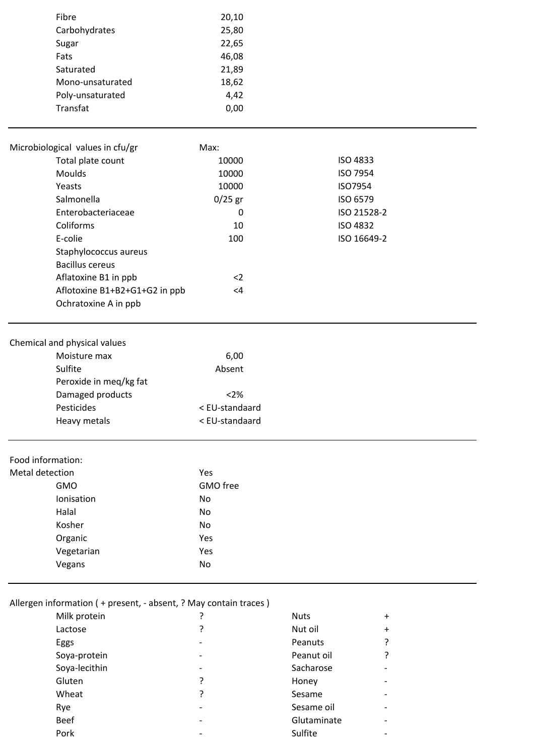| Fibre            | 20,10 |
|------------------|-------|
| Carbohydrates    | 25,80 |
| Sugar            | 22,65 |
| Fats             | 46,08 |
| Saturated        | 21,89 |
| Mono-unsaturated | 18,62 |
| Poly-unsaturated | 4,42  |
| Transfat         | 0.00  |
|                  |       |

| Total plate count                          |                               | 10000          | <b>ISO 4833</b> |  |
|--------------------------------------------|-------------------------------|----------------|-----------------|--|
| <b>Moulds</b>                              |                               | 10000          | ISO 7954        |  |
| Yeasts                                     |                               | 10000          | ISO7954         |  |
| Salmonella                                 |                               | $0/25$ gr      | ISO 6579        |  |
| Enterobacteriaceae                         |                               | $\mathbf 0$    | ISO 21528-2     |  |
|                                            | Coliforms                     | 10             | <b>ISO 4832</b> |  |
|                                            | E-colie                       | 100            | ISO 16649-2     |  |
|                                            | Staphylococcus aureus         |                |                 |  |
|                                            | <b>Bacillus cereus</b>        |                |                 |  |
|                                            | Aflatoxine B1 in ppb          | $2$            |                 |  |
|                                            | Aflotoxine B1+B2+G1+G2 in ppb | $\leq 4$       |                 |  |
|                                            | Ochratoxine A in ppb          |                |                 |  |
|                                            | Chemical and physical values  |                |                 |  |
|                                            | Moisture max                  | 6,00           |                 |  |
| Sulfite                                    |                               | Absent         |                 |  |
| Peroxide in meq/kg fat<br>Damaged products |                               |                |                 |  |
|                                            |                               | < 2%           |                 |  |
| Pesticides                                 |                               | < EU-standaard |                 |  |
|                                            | Heavy metals                  | < EU-standaard |                 |  |
| Food information:                          |                               |                |                 |  |
| Metal detection                            |                               | Yes            |                 |  |
| <b>GMO</b>                                 |                               | GMO free       |                 |  |
|                                            | Ionisation                    | No             |                 |  |
|                                            | Halal                         | No             |                 |  |
| Kosher                                     |                               | <b>No</b>      |                 |  |
|                                            | Organic                       | Yes            |                 |  |
|                                            | Vegetarian                    | Yes            |                 |  |
|                                            | Vegans                        | No             |                 |  |

## Allergen information ( + present, - absent, ? May contain traces )

| Milk protein  |                          | <b>Nuts</b> | $\ddot{}$ |
|---------------|--------------------------|-------------|-----------|
| Lactose       | 7                        | Nut oil     | $\ddot{}$ |
| Eggs          |                          | Peanuts     |           |
| Soya-protein  |                          | Peanut oil  |           |
| Soya-lecithin | $\overline{\phantom{0}}$ | Sacharose   |           |
| Gluten        | ?                        | Honey       |           |
| Wheat         | ?                        | Sesame      |           |
| Rye           |                          | Sesame oil  |           |
| <b>Beef</b>   |                          | Glutaminate |           |
| Pork          |                          | Sulfite     |           |